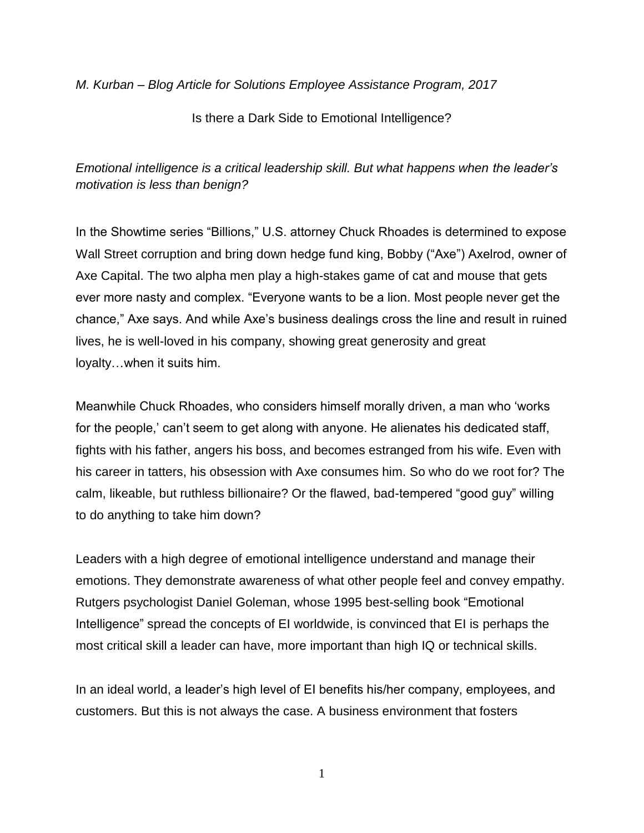*M. Kurban – Blog Article for Solutions Employee Assistance Program, 2017*

Is there a Dark Side to Emotional Intelligence?

*Emotional intelligence is a critical leadership skill. But what happens when the leader's motivation is less than benign?*

In the Showtime series "Billions," U.S. attorney Chuck Rhoades is determined to expose Wall Street corruption and bring down hedge fund king, Bobby ("Axe") Axelrod, owner of Axe Capital. The two alpha men play a high-stakes game of cat and mouse that gets ever more nasty and complex. "Everyone wants to be a lion. Most people never get the chance," Axe says. And while Axe's business dealings cross the line and result in ruined lives, he is well-loved in his company, showing great generosity and great loyalty…when it suits him.

Meanwhile Chuck Rhoades, who considers himself morally driven, a man who 'works for the people,' can't seem to get along with anyone. He alienates his dedicated staff, fights with his father, angers his boss, and becomes estranged from his wife. Even with his career in tatters, his obsession with Axe consumes him. So who do we root for? The calm, likeable, but ruthless billionaire? Or the flawed, bad-tempered "good guy" willing to do anything to take him down?

Leaders with a high degree of emotional intelligence understand and manage their emotions. They demonstrate awareness of what other people feel and convey empathy. Rutgers psychologist Daniel Goleman, whose 1995 best-selling book "Emotional Intelligence" spread the concepts of EI worldwide, is convinced that EI is perhaps the most critical skill a leader can have, more important than high IQ or technical skills.

In an ideal world, a leader's high level of EI benefits his/her company, employees, and customers. But this is not always the case. A business environment that fosters

1